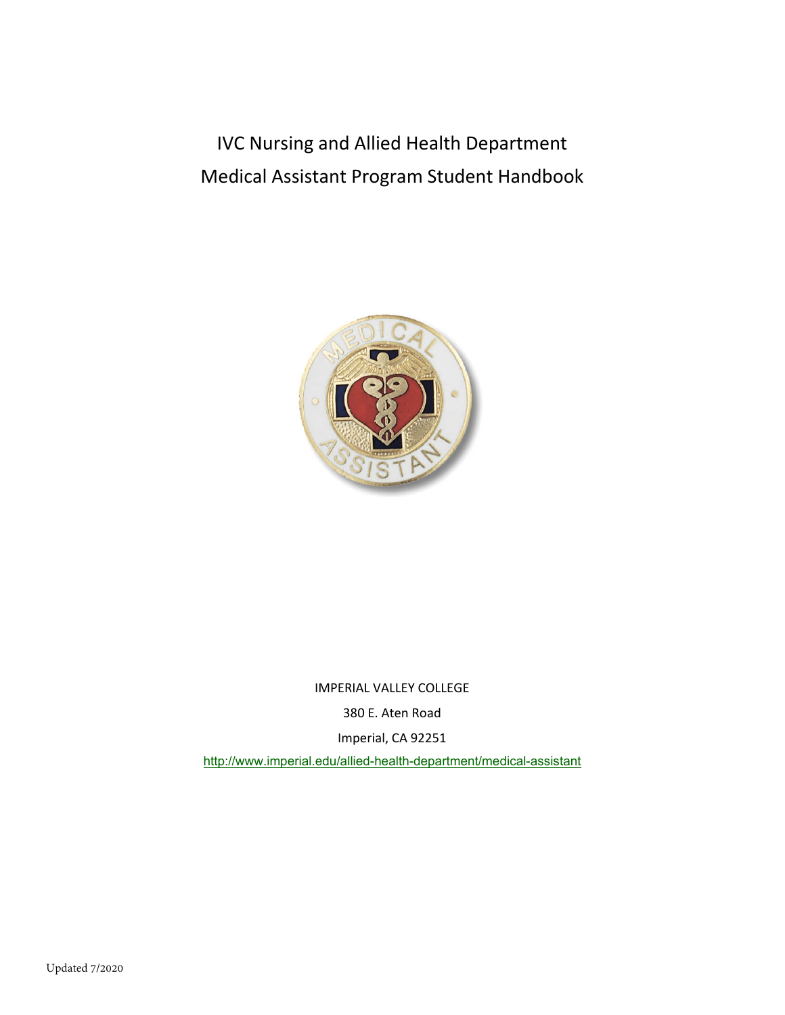IVC Nursing and Allied Health Department Medical Assistant Program Student Handbook



IMPERIAL VALLEY COLLEGE

380 E. Aten Road

Imperial, CA 92251

<http://www.imperial.edu/allied-health-department/medical-assistant>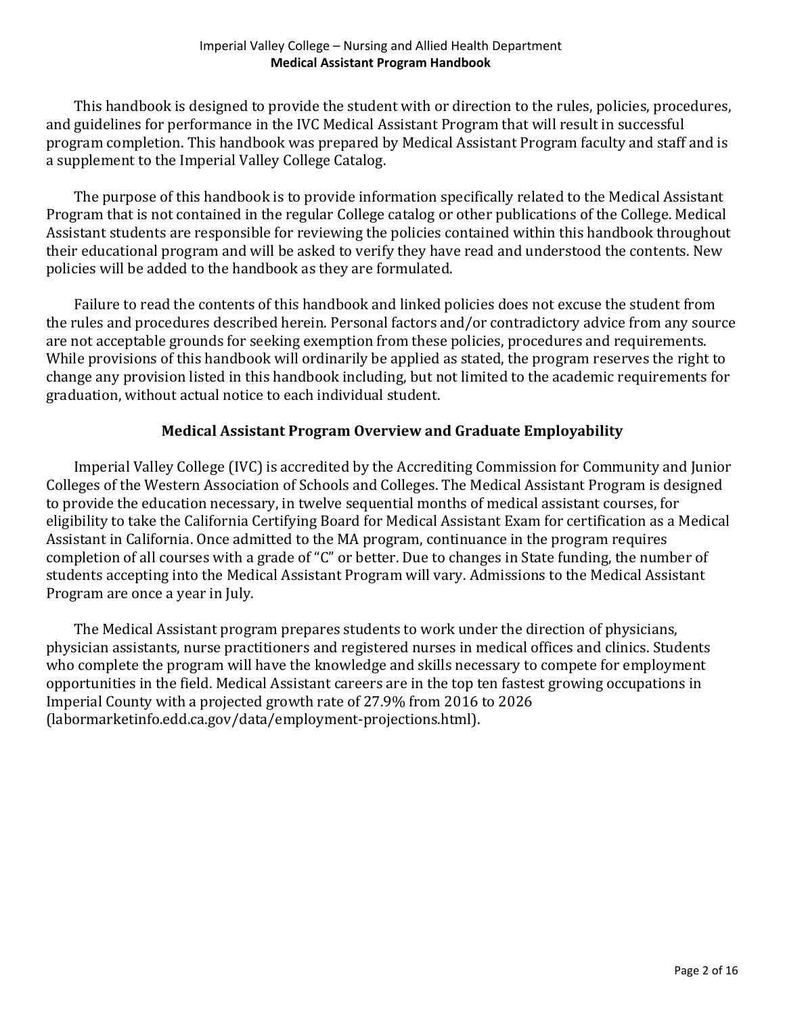This handbook is designed to provide the student with or direction to the rules, policies, procedures, and guidelines for performance in the IVC Medical Assistant Program that will result in successful program completion. This handbook was prepared by Medical Assistant Program faculty and staff and is a supplement to the Imperial Valley College Catalog.

The purpose of this handbook is to provide information specifically related to the Medical Assistant Program that is not contained in the regular College catalog or other publications of the College. Medical Assistant students are responsible for reviewing the policies contained within this handbook throughout their educational program and will be asked to verify they have read and understood the contents. New policies will be added to the handbook as they are formulated.

Failure to read the contents of this handbook and linked policies does not excuse the student from the rules and procedures described herein. Personal factors and/or contradictory advice from any source are not acceptable grounds for seeking exemption from these policies, procedures and requirements. While provisions of this handbook will ordinarily be applied as stated, the program reserves the right to change any provision listed in this handbook including, but not limited to the academic requirements for graduation, without actual notice to each individual student.

## **Medical Assistant Program Overview and Graduate Employability**

Imperial Valley College (IVC) is accredited by the Accrediting Commission for Community and Junior Colleges of the Western Association of Schools and Colleges. The Medical Assistant Program is designed to provide the education necessary, in twelve sequential months of medical assistant courses, for eligibility to take the California Certifying Board for Medical Assistant Exam for certification as a Medical Assistant in California. Once admitted to the MA program, continuance in the program requires completion of all courses with a grade of "C" or better. Due to changes in State funding, the number of students accepting into the Medical Assistant Program will vary. Admissions to the Medical Assistant Program are once a year in July.

The Medical Assistant program prepares students to work under the direction of physicians, physician assistants, nurse practitioners and registered nurses in medical offices and clinics. Students who complete the program will have the knowledge and skills necessary to compete for employment opportunities in the field. Medical Assistant careers are in the top ten fastest growing occupations in Imperial County with a projected growth rate of 27.9% from 2016 to 2026 (labormarketinfo.edd.ca.gov/data/employment-projections.html).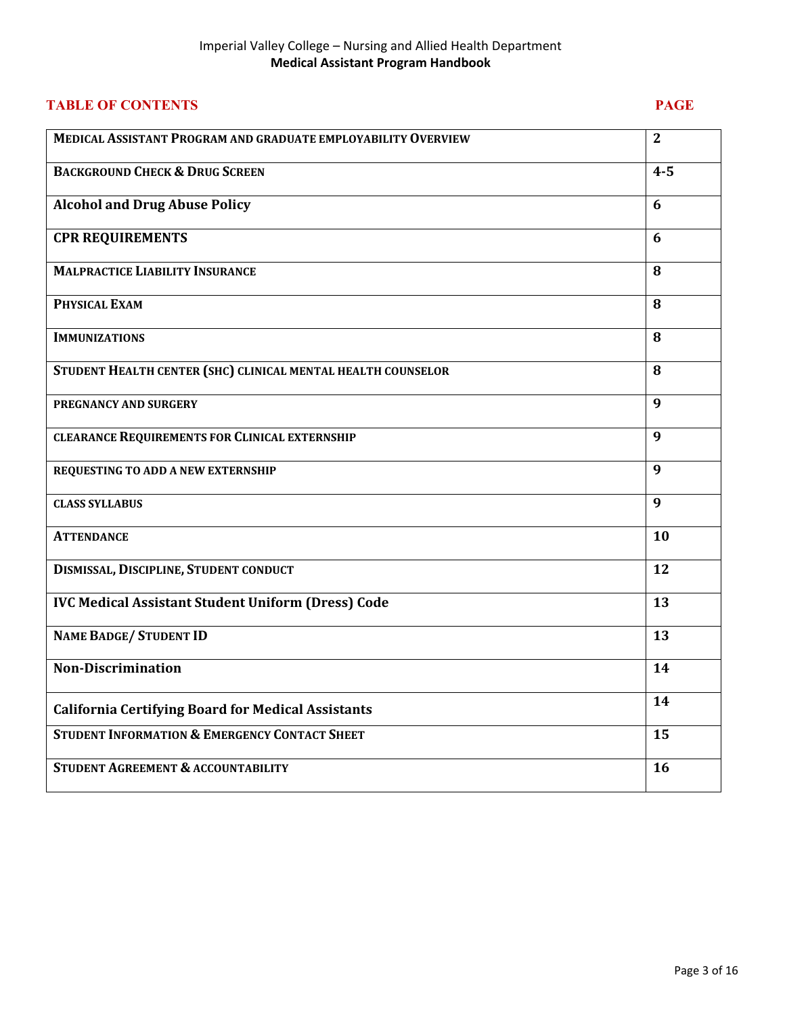| <b>TABLE OF CONTENTS</b>                                      | <b>PAGE</b>  |
|---------------------------------------------------------------|--------------|
| MEDICAL ASSISTANT PROGRAM AND GRADUATE EMPLOYABILITY OVERVIEW | $\mathbf{2}$ |
| <b>BACKGROUND CHECK &amp; DRUG SCREEN</b>                     | $4 - 5$      |
| <b>Alcohol and Drug Abuse Policy</b>                          | 6            |
| <b>CPR REQUIREMENTS</b>                                       | 6            |
| <b>MALPRACTICE LIABILITY INSURANCE</b>                        | 8            |
| PHYSICAL EXAM                                                 | 8            |
| <b>IMMUNIZATIONS</b>                                          | 8            |
| STUDENT HEALTH CENTER (SHC) CLINICAL MENTAL HEALTH COUNSELOR  | 8            |
| PREGNANCY AND SURGERY                                         | 9            |
| <b>CLEARANCE REQUIREMENTS FOR CLINICAL EXTERNSHIP</b>         | 9            |
| REQUESTING TO ADD A NEW EXTERNSHIP                            | 9            |
| <b>CLASS SYLLABUS</b>                                         | 9            |
| <b>ATTENDANCE</b>                                             | 10           |
| DISMISSAL, DISCIPLINE, STUDENT CONDUCT                        | 12           |
| <b>IVC Medical Assistant Student Uniform (Dress) Code</b>     | 13           |
| <b>NAME BADGE/ STUDENT ID</b>                                 | 13           |
| <b>Non-Discrimination</b>                                     | 14           |
| <b>California Certifying Board for Medical Assistants</b>     | 14           |
| <b>STUDENT INFORMATION &amp; EMERGENCY CONTACT SHEET</b>      | 15           |
| <b>STUDENT AGREEMENT &amp; ACCOUNTABILITY</b>                 | 16           |
|                                                               |              |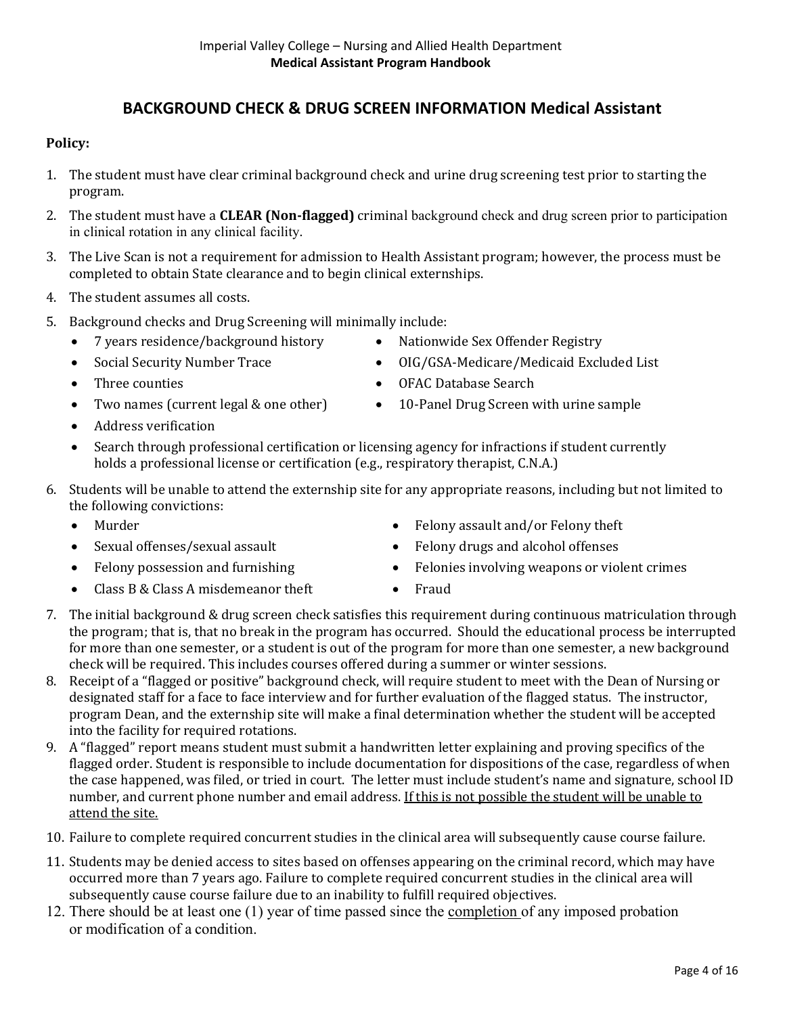# **BACKGROUND CHECK & DRUG SCREEN INFORMATION Medical Assistant**

### **Policy:**

- 1. The student must have clear criminal background check and urine drug screening test prior to starting the program.
- 2. The student must have a **CLEAR (Non-flagged)** criminal background check and drug screen prior to participation in clinical rotation in any clinical facility.
- 3. The Live Scan is not a requirement for admission to Health Assistant program; however, the process must be completed to obtain State clearance and to begin clinical externships.
- 4. The student assumes all costs.
- 5. Background checks and Drug Screening will minimally include:
	- 7 years residence/background history Nationwide Sex Offender Registry
	-
	-
	-
	- Address verification
- 
- Social Security Number Trace OIG/GSA-Medicare/Medicaid Excluded List
- Three counties OFAC Database Search
- Two names (current legal & one other) 10-Panel Drug Screen with urine sample
- Search through professional certification or licensing agency for infractions if student currently holds a professional license or certification (e.g., respiratory therapist, C.N.A.)
- 6. Students will be unable to attend the externship site for any appropriate reasons, including but not limited to the following convictions:
	-
	-
	-
	- Class B & Class A misdemeanor theft  $\bullet$  Fraud
	- Murder **Felony assault and/or Felony theft**
	- Sexual offenses/sexual assault Felony drugs and alcohol offenses
	- Felony possession and furnishing Felonies involving weapons or violent crimes
		-
- 7. The initial background & drug screen check satisfies this requirement during continuous matriculation through the program; that is, that no break in the program has occurred. Should the educational process be interrupted for more than one semester, or a student is out of the program for more than one semester, a new background check will be required. This includes courses offered during a summer or winter sessions.
- 8. Receipt of a "flagged or positive" background check, will require student to meet with the Dean of Nursing or designated staff for a face to face interview and for further evaluation of the flagged status. The instructor, program Dean, and the externship site will make a final determination whether the student will be accepted into the facility for required rotations.
- 9. A "flagged" report means student must submit a handwritten letter explaining and proving specifics of the flagged order. Student is responsible to include documentation for dispositions of the case, regardless of when the case happened, was filed, or tried in court. The letter must include student's name and signature, school ID number, and current phone number and email address. If this is not possible the student will be unable to attend the site.
- 10. Failure to complete required concurrent studies in the clinical area will subsequently cause course failure.
- 11. Students may be denied access to sites based on offenses appearing on the criminal record, which may have occurred more than 7 years ago. Failure to complete required concurrent studies in the clinical area will subsequently cause course failure due to an inability to fulfill required objectives.
- 12. There should be at least one (1) year of time passed since the completion of any imposed probation or modification of a condition.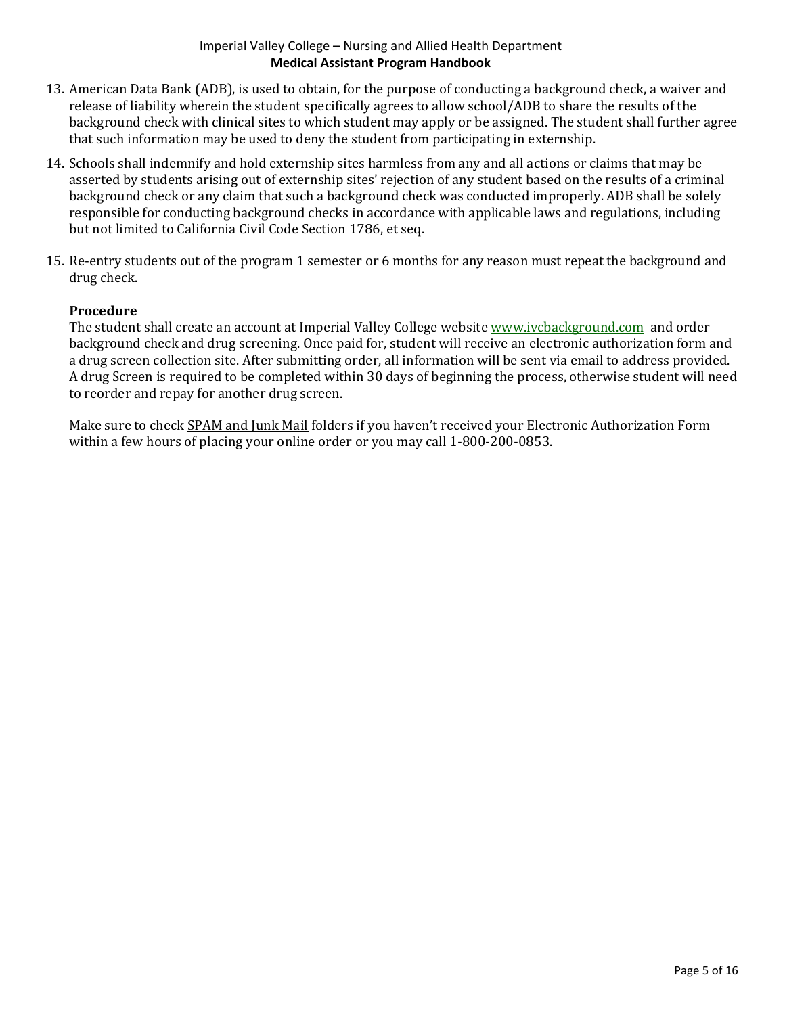- 13. American Data Bank (ADB), is used to obtain, for the purpose of conducting a background check, a waiver and release of liability wherein the student specifically agrees to allow school/ADB to share the results of the background check with clinical sites to which student may apply or be assigned. The student shall further agree that such information may be used to deny the student from participating in externship.
- 14. Schools shall indemnify and hold externship sites harmless from any and all actions or claims that may be asserted by students arising out of externship sites' rejection of any student based on the results of a criminal background check or any claim that such a background check was conducted improperly. ADB shall be solely responsible for conducting background checks in accordance with applicable laws and regulations, including but not limited to California Civil Code Section 1786, et seq.
- 15. Re-entry students out of the program 1 semester or 6 months for any reason must repeat the background and drug check.

### **Procedure**

The student shall create an account at Imperial Valley College website [www.ivcbackground.com](http://www.ivcbackground.com/) and order background check and drug screening. Once paid for, student will receive an electronic authorization form and a drug screen collection site. After submitting order, all information will be sent via email to address provided. A drug Screen is required to be completed within 30 days of beginning the process, otherwise student will need to reorder and repay for another drug screen.

Make sure to check SPAM and Junk Mail folders if you haven't received your Electronic Authorization Form within a few hours of placing your online order or you may call 1-800-200-0853.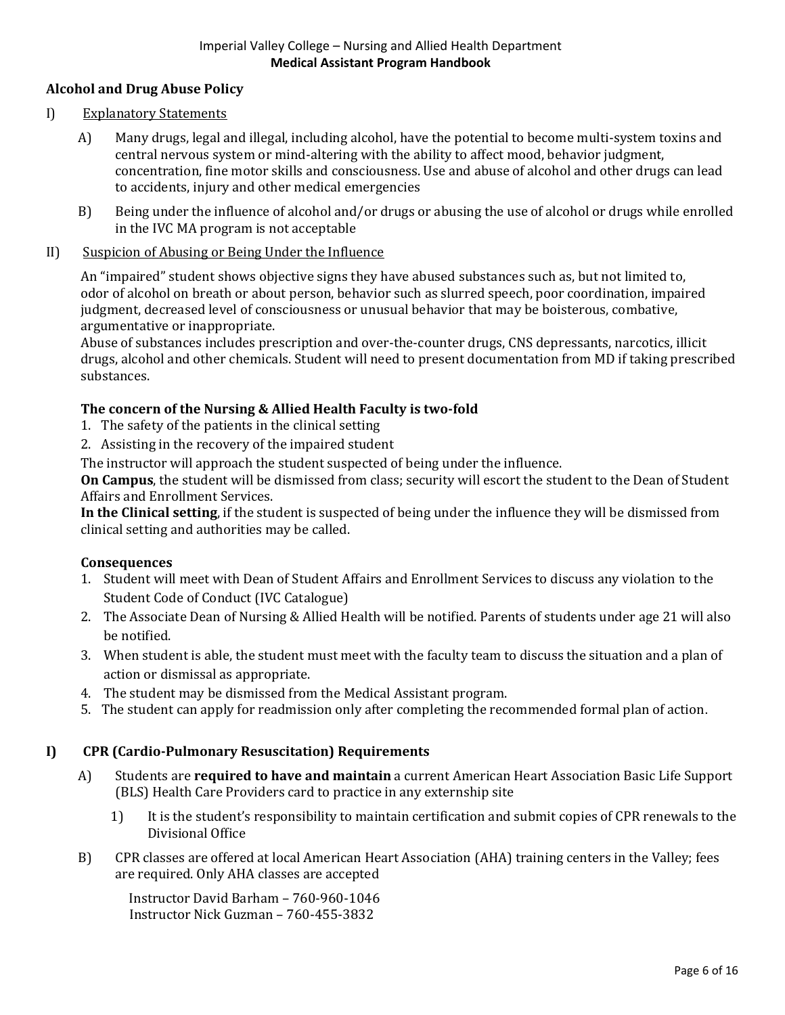## **Alcohol and Drug Abuse Policy**

### I) Explanatory Statements

- A) Many drugs, legal and illegal, including alcohol, have the potential to become multi-system toxins and central nervous system or mind-altering with the ability to affect mood, behavior judgment, concentration, fine motor skills and consciousness. Use and abuse of alcohol and other drugs can lead to accidents, injury and other medical emergencies
- B) Being under the influence of alcohol and/or drugs or abusing the use of alcohol or drugs while enrolled in the IVC MA program is not acceptable

### II) Suspicion of Abusing or Being Under the Influence

An "impaired" student shows objective signs they have abused substances such as, but not limited to, odor of alcohol on breath or about person, behavior such as slurred speech, poor coordination, impaired judgment, decreased level of consciousness or unusual behavior that may be boisterous, combative, argumentative or inappropriate.

Abuse of substances includes prescription and over-the-counter drugs, CNS depressants, narcotics, illicit drugs, alcohol and other chemicals. Student will need to present documentation from MD if taking prescribed substances.

### **The concern of the Nursing & Allied Health Faculty is two-fold**

- 1. The safety of the patients in the clinical setting
- 2. Assisting in the recovery of the impaired student

The instructor will approach the student suspected of being under the influence.

**On Campus**, the student will be dismissed from class; security will escort the student to the Dean of Student Affairs and Enrollment Services.

**In the Clinical setting**, if the student is suspected of being under the influence they will be dismissed from clinical setting and authorities may be called.

### **Consequences**

- 1. Student will meet with Dean of Student Affairs and Enrollment Services to discuss any violation to the Student Code of Conduct (IVC Catalogue)
- 2. The Associate Dean of Nursing & Allied Health will be notified. Parents of students under age 21 will also be notified.
- 3. When student is able, the student must meet with the faculty team to discuss the situation and a plan of action or dismissal as appropriate.
- 4. The student may be dismissed from the Medical Assistant program.
- 5. The student can apply for readmission only after completing the recommended formal plan of action.

## **I) CPR (Cardio-Pulmonary Resuscitation) Requirements**

- A) Students are **required to have and maintain** a current American Heart Association Basic Life Support (BLS) Health Care Providers card to practice in any externship site
	- 1) It is the student's responsibility to maintain certification and submit copies of CPR renewals to the Divisional Office
- B) CPR classes are offered at local American Heart Association (AHA) training centers in the Valley; fees are required. Only AHA classes are accepted

Instructor David Barham – 760-960-1046 Instructor Nick Guzman – 760-455-3832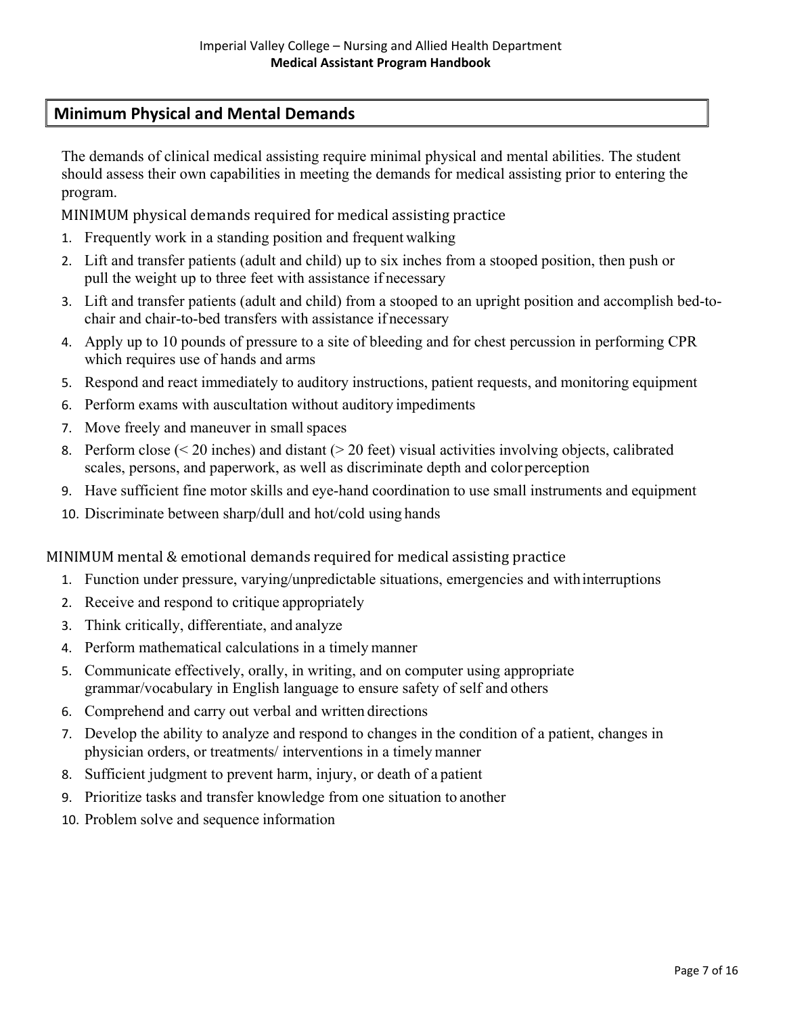# **Minimum Physical and Mental Demands**

The demands of clinical medical assisting require minimal physical and mental abilities. The student should assess their own capabilities in meeting the demands for medical assisting prior to entering the program.

MINIMUM physical demands required for medical assisting practice

- 1. Frequently work in a standing position and frequent walking
- 2. Lift and transfer patients (adult and child) up to six inches from a stooped position, then push or pull the weight up to three feet with assistance if necessary
- 3. Lift and transfer patients (adult and child) from a stooped to an upright position and accomplish bed-tochair and chair-to-bed transfers with assistance if necessary
- 4. Apply up to 10 pounds of pressure to a site of bleeding and for chest percussion in performing CPR which requires use of hands and arms
- 5. Respond and react immediately to auditory instructions, patient requests, and monitoring equipment
- 6. Perform exams with auscultation without auditory impediments
- 7. Move freely and maneuver in small spaces
- 8. Perform close (< 20 inches) and distant (> 20 feet) visual activities involving objects, calibrated scales, persons, and paperwork, as well as discriminate depth and color perception
- 9. Have sufficient fine motor skills and eye-hand coordination to use small instruments and equipment
- 10. Discriminate between sharp/dull and hot/cold using hands

MINIMUM mental & emotional demands required for medical assisting practice

- 1. Function under pressure, varying/unpredictable situations, emergencies and withinterruptions
- 2. Receive and respond to critique appropriately
- 3. Think critically, differentiate, and analyze
- 4. Perform mathematical calculations in a timely manner
- 5. Communicate effectively, orally, in writing, and on computer using appropriate grammar/vocabulary in English language to ensure safety of self and others
- 6. Comprehend and carry out verbal and written directions
- 7. Develop the ability to analyze and respond to changes in the condition of a patient, changes in physician orders, or treatments/ interventions in a timely manner
- 8. Sufficient judgment to prevent harm, injury, or death of a patient
- 9. Prioritize tasks and transfer knowledge from one situation to another
- 10. Problem solve and sequence information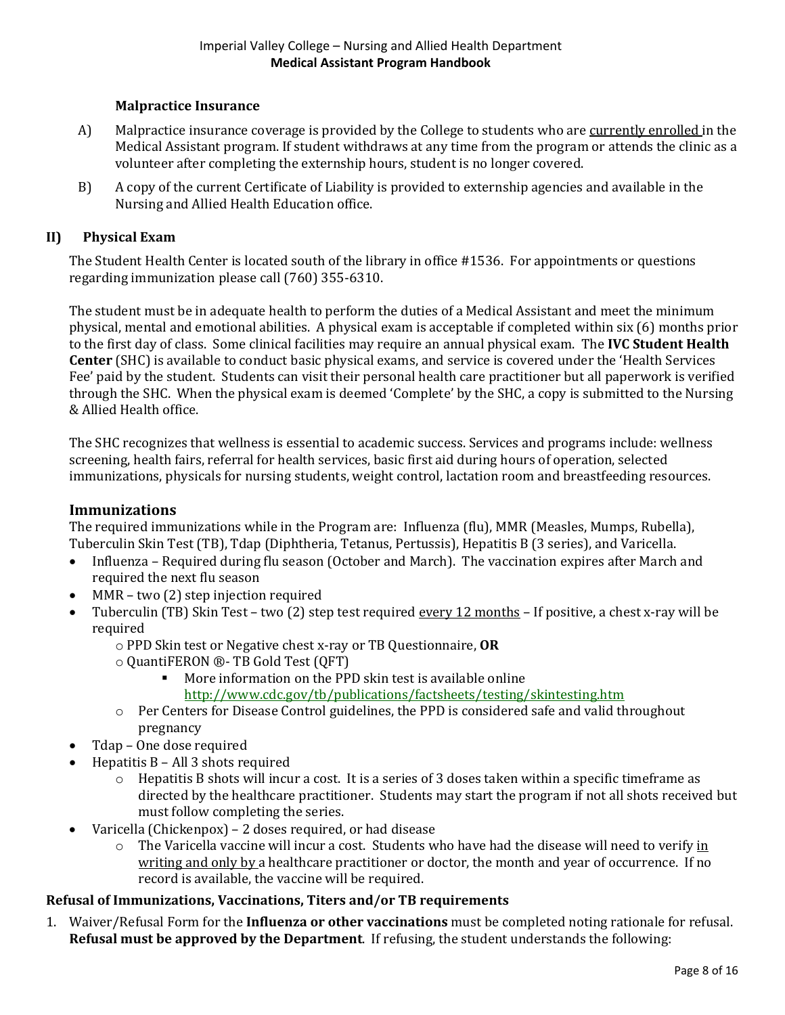### **Malpractice Insurance**

- A) Malpractice insurance coverage is provided by the College to students who are currently enrolled in the Medical Assistant program. If student withdraws at any time from the program or attends the clinic as a volunteer after completing the externship hours, student is no longer covered.
- B) A copy of the current Certificate of Liability is provided to externship agencies and available in the Nursing and Allied Health Education office.

#### **II) Physical Exam**

The Student Health Center is located south of the library in office #1536. For appointments or questions regarding immunization please call (760) 355-6310.

The student must be in adequate health to perform the duties of a Medical Assistant and meet the minimum physical, mental and emotional abilities. A physical exam is acceptable if completed within six (6) months prior to the first day of class. Some clinical facilities may require an annual physical exam. The **IVC Student Health Center** (SHC) is available to conduct basic physical exams, and service is covered under the 'Health Services Fee' paid by the student. Students can visit their personal health care practitioner but all paperwork is verified through the SHC. When the physical exam is deemed 'Complete' by the SHC, a copy is submitted to the Nursing & Allied Health office.

The SHC recognizes that wellness is essential to academic success. Services and programs include: wellness screening, health fairs, referral for health services, basic first aid during hours of operation, selected immunizations, physicals for nursing students, weight control, lactation room and breastfeeding resources.

#### **Immunizations**

The required immunizations while in the Program are: Influenza (flu), MMR (Measles, Mumps, Rubella), Tuberculin Skin Test (TB), Tdap (Diphtheria, Tetanus, Pertussis), Hepatitis B (3 series), and Varicella.

- Influenza Required during flu season (October and March). The vaccination expires after March and required the next flu season
- MMR two  $(2)$  step injection required
- Tuberculin (TB) Skin Test two (2) step test required every 12 months If positive, a chest x-ray will be required
	- o PPD Skin test or Negative chest x-ray or TB Questionnaire, **OR**
	- QuantiFERON **®** TB Gold Test (QFT)
		- More information on the PPD skin test is available online <http://www.cdc.gov/tb/publications/factsheets/testing/skintesting.htm>
	- o Per Centers for Disease Control guidelines, the PPD is considered safe and valid throughout pregnancy
- Tdap One dose required
- Hepatitis B All 3 shots required
	- $\circ$  Hepatitis B shots will incur a cost. It is a series of 3 doses taken within a specific timeframe as directed by the healthcare practitioner. Students may start the program if not all shots received but must follow completing the series.
- Varicella (Chickenpox) 2 doses required, or had disease
	- $\circ$  The Varicella vaccine will incur a cost. Students who have had the disease will need to verify in writing and only by a healthcare practitioner or doctor, the month and year of occurrence. If no record is available, the vaccine will be required.

### **Refusal of Immunizations, Vaccinations, Titers and/or TB requirements**

1. Waiver/Refusal Form for the **Influenza or other vaccinations** must be completed noting rationale for refusal. **Refusal must be approved by the Department**. If refusing, the student understands the following: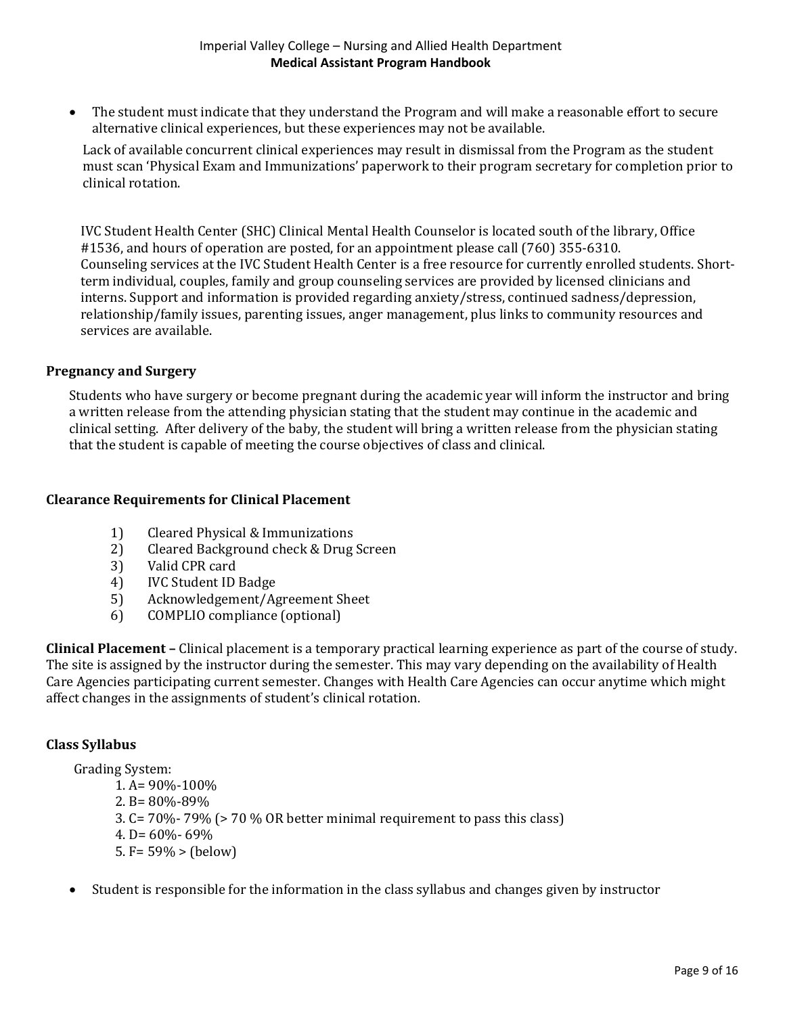• The student must indicate that they understand the Program and will make a reasonable effort to secure alternative clinical experiences, but these experiences may not be available.

Lack of available concurrent clinical experiences may result in dismissal from the Program as the student must scan 'Physical Exam and Immunizations' paperwork to their program secretary for completion prior to clinical rotation.

IVC Student Health Center (SHC) Clinical Mental Health Counselor is located south of the library, Office #1536, and hours of operation are posted, for an appointment please call (760) 355-6310. Counseling services at the IVC Student Health Center is a free resource for currently enrolled students. Shortterm individual, couples, family and group counseling services are provided by licensed clinicians and interns. Support and information is provided regarding anxiety/stress, continued sadness/depression, relationship/family issues, parenting issues, anger management, plus links to community resources and services are available.

### **Pregnancy and Surgery**

Students who have surgery or become pregnant during the academic year will inform the instructor and bring a written release from the attending physician stating that the student may continue in the academic and clinical setting. After delivery of the baby, the student will bring a written release from the physician stating that the student is capable of meeting the course objectives of class and clinical.

### **Clearance Requirements for Clinical Placement**

- 1) Cleared Physical & Immunizations<br>2) Cleared Background check & Drug
- 2) Cleared Background check & Drug Screen<br>3) Valid CPR card
- 
- 3) Valid CPR card<br>4) IVC Student ID 4) IVC Student ID Badge<br>5) Acknowledgement/Ag
- 5) Acknowledgement/Agreement Sheet<br>6) COMPLIO compliance (optional)
- 6) COMPLIO compliance (optional)

**Clinical Placement –** Clinical placement is a temporary practical learning experience as part of the course of study. The site is assigned by the instructor during the semester. This may vary depending on the availability of Health Care Agencies participating current semester. Changes with Health Care Agencies can occur anytime which might affect changes in the assignments of student's clinical rotation.

### **Class Syllabus**

Grading System:

1. A= 90%-100% 2. B= 80%-89% 3. C= 70%- 79% (> 70 % OR better minimal requirement to pass this class) 4. D=  $60\%$ - 69% 5. F=  $59\%$  > (below)

• Student is responsible for the information in the class syllabus and changes given by instructor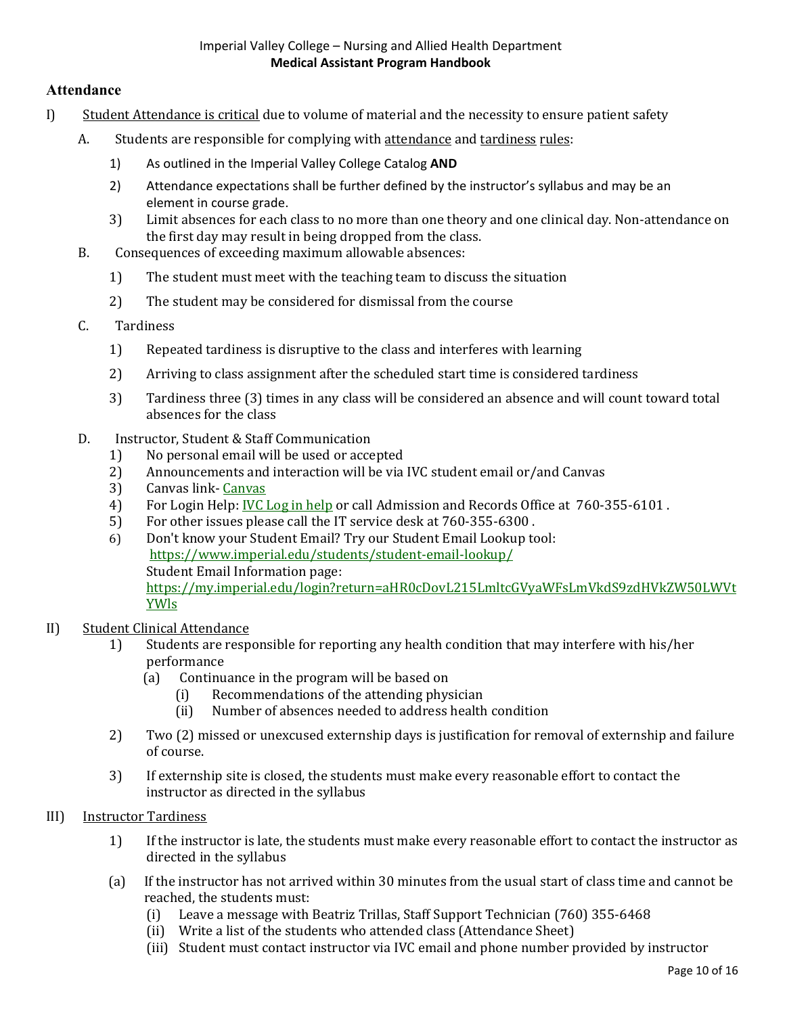### **Attendance**

- I) Student Attendance is critical due to volume of material and the necessity to ensure patient safety
	- A. Students are responsible for complying with attendance and tardiness rules:
		- 1) As outlined in the Imperial Valley College Catalog **AND**
		- 2) Attendance expectations shall be further defined by the instructor's syllabus and may be an element in course grade.
		- 3) Limit absences for each class to no more than one theory and one clinical day. Non-attendance on the first day may result in being dropped from the class.
	- B. Consequences of exceeding maximum allowable absences:
		- 1) The student must meet with the teaching team to discuss the situation
		- 2) The student may be considered for dismissal from the course
	- C. Tardiness
		- 1) Repeated tardiness is disruptive to the class and interferes with learning
		- 2) Arriving to class assignment after the scheduled start time is considered tardiness
		- 3) Tardiness three (3) times in any class will be considered an absence and will count toward total absences for the class
	- D. Instructor, Student & Staff Communication
		-
		- 1) No personal email will be used or accepted<br>2) Announcements and interaction will be via 2) Announcements and interaction will be via IVC student email or/and Canvas<br>3) Canvas link-Canvas
		- 3) [Canvas](https://cas.imperial.edu/cas/login?service=https%3A%2F%2Fimperial.instructure.com%2Flogin%2Fcas) link- Canvas<br>4) For Login Help: IVC I
		- 4) For Login Help: <u>[IVC Log in help](https://reset.imperial.edu/)</u> or call Admission and Records Office at 760-355-6101.<br>5) For other issues please call the IT service desk at 760-355-6300.
		- 5) For other issues please call the IT service desk at 760-355-6300 .
		- 6) Don't know your Student Email? Try our [Student](http://www.imperial.edu/students/student-email-lookup/) Email Lookup tool: <https://www.imperial.edu/students/student-email-lookup/> Student Email [Information](https://my.imperial.edu/student-email) page: [https://my.imperial.edu/login?return=aHR0cDovL215LmltcGVyaWFsLmVkdS9zdHVkZW50LWVt](https://my.imperial.edu/login?return=aHR0cDovL215LmltcGVyaWFsLmVkdS9zdHVkZW50LWVtYWls) [YWls](https://my.imperial.edu/login?return=aHR0cDovL215LmltcGVyaWFsLmVkdS9zdHVkZW50LWVtYWls)

### II) Student Clinical Attendance

- 1) Students are responsible for reporting any health condition that may interfere with his/her performance<br>(a) Continu
	- (b) Continuance in the program will be based on<br>(i) Recommendations of the attending physic
		- (i) Recommendations of the attending physician<br>(ii) Number of absences needed to address health
		- Number of absences needed to address health condition
- 2) Two (2) missed or unexcused externship days is justification for removal of externship and failure of course.
- 3) If externship site is closed, the students must make every reasonable effort to contact the instructor as directed in the syllabus
- III) Instructor Tardiness
	- 1) If the instructor is late, the students must make every reasonable effort to contact the instructor as directed in the syllabus
	- (a) If the instructor has not arrived within 30 minutes from the usual start of class time and cannot be reached, the students must:<br>(i) Leave a message with
		- Leave a message with Beatriz Trillas, Staff Support Technician (760) 355-6468
		- (ii) Write a list of the students who attended class (Attendance Sheet)
		- (iii) Student must contact instructor via IVC email and phone number provided by instructor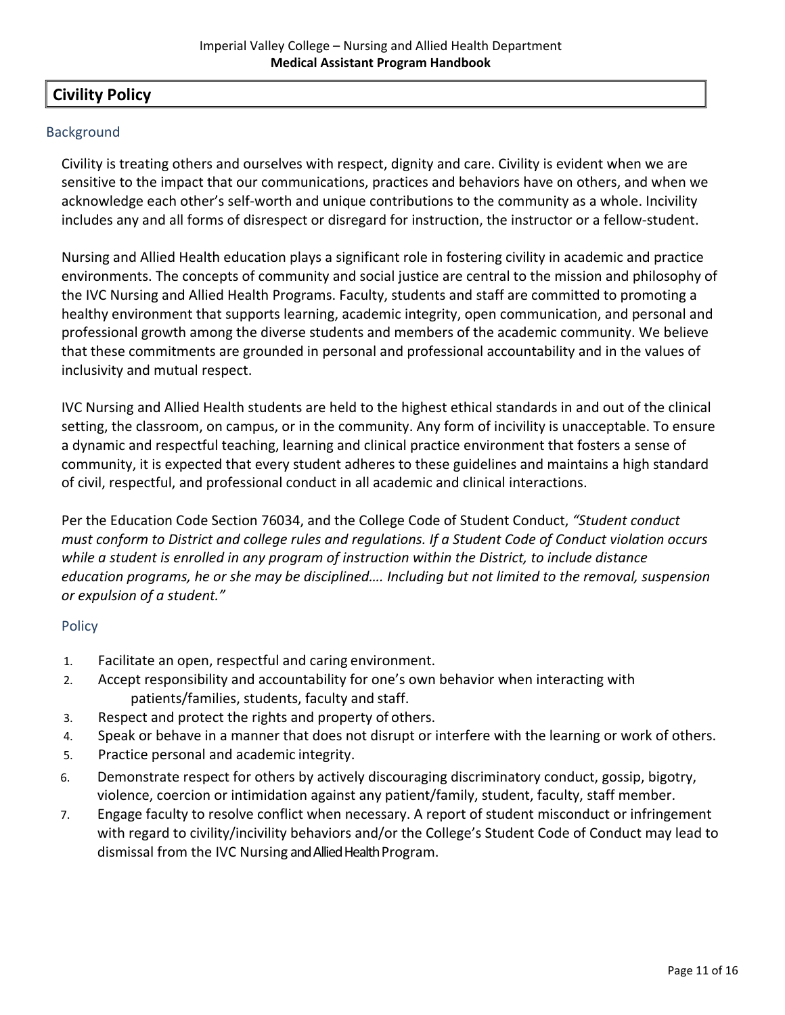## **Civility Policy**

### Background

Civility is treating others and ourselves with respect, dignity and care. Civility is evident when we are sensitive to the impact that our communications, practices and behaviors have on others, and when we acknowledge each other's self-worth and unique contributions to the community as a whole. Incivility includes any and all forms of disrespect or disregard for instruction, the instructor or a fellow-student.

Nursing and Allied Health education plays a significant role in fostering civility in academic and practice environments. The concepts of community and social justice are central to the mission and philosophy of the IVC Nursing and Allied Health Programs. Faculty, students and staff are committed to promoting a healthy environment that supports learning, academic integrity, open communication, and personal and professional growth among the diverse students and members of the academic community. We believe that these commitments are grounded in personal and professional accountability and in the values of inclusivity and mutual respect.

IVC Nursing and Allied Health students are held to the highest ethical standards in and out of the clinical setting, the classroom, on campus, or in the community. Any form of incivility is unacceptable. To ensure a dynamic and respectful teaching, learning and clinical practice environment that fosters a sense of community, it is expected that every student adheres to these guidelines and maintains a high standard of civil, respectful, and professional conduct in all academic and clinical interactions.

Per the Education Code Section 76034, and the College Code of Student Conduct, *"Student conduct must conform to District and college rules and regulations. If a Student Code of Conduct violation occurs while a student is enrolled in any program of instruction within the District, to include distance education programs, he or she may be disciplined…. Including but not limited to the removal, suspension or expulsion of a student."*

## Policy

- 1. Facilitate an open, respectful and caring environment.
- 2. Accept responsibility and accountability for one's own behavior when interacting with patients/families, students, faculty and staff.
- 3. Respect and protect the rights and property of others.
- 4. Speak or behave in a manner that does not disrupt or interfere with the learning or work of others.
- 5. Practice personal and academic integrity.
- 6. Demonstrate respect for others by actively discouraging discriminatory conduct, gossip, bigotry, violence, coercion or intimidation against any patient/family, student, faculty, staff member.
- 7. Engage faculty to resolve conflict when necessary. A report of student misconduct or infringement with regard to civility/incivility behaviors and/or the College's Student Code of Conduct may lead to dismissal from the IVC Nursing and Allied Health Program.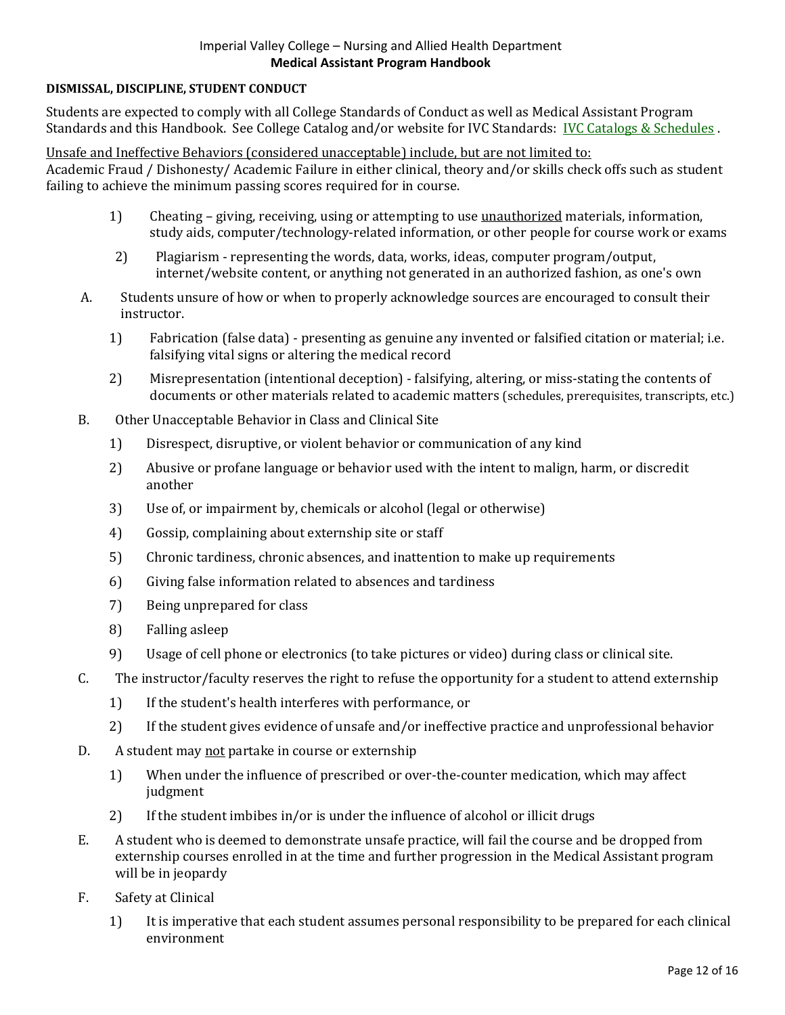#### **DISMISSAL, DISCIPLINE, STUDENT CONDUCT**

Students are expected to comply with all College Standards of Conduct as well as Medical Assistant Program Standards and this Handbook. See College Catalog and/or website for IVC Standards: [IVC Catalogs & Schedules](https://www.imperial.edu/courses-and-programs/catalogs-and-schedules/#catalogs_section) .

Unsafe and Ineffective Behaviors (considered unacceptable) include, but are not limited to:

Academic Fraud / Dishonesty/ Academic Failure in either clinical, theory and/or skills check offs such as student failing to achieve the minimum passing scores required for in course.

- 1) Cheating giving, receiving, using or attempting to use unauthorized materials, information, study aids, computer/technology-related information, or other people for course work or exams
- 2) Plagiarism representing the words, data, works, ideas, computer program/output, internet/website content, or anything not generated in an authorized fashion, as one's own
- A. Students unsure of how or when to properly acknowledge sources are encouraged to consult their instructor.
	- 1) Fabrication (false data) presenting as genuine any invented or falsified citation or material; i.e. falsifying vital signs or altering the medical record
	- 2) Misrepresentation (intentional deception) falsifying, altering, or miss-stating the contents of documents or other materials related to academic matters (schedules, prerequisites, transcripts, etc.)
- B. Other Unacceptable Behavior in Class and Clinical Site
	- 1) Disrespect, disruptive, or violent behavior or communication of any kind
	- 2) Abusive or profane language or behavior used with the intent to malign, harm, or discredit another
	- 3) Use of, or impairment by, chemicals or alcohol (legal or otherwise)
	- 4) Gossip, complaining about externship site or staff
	- 5) Chronic tardiness, chronic absences, and inattention to make up requirements
	- 6) Giving false information related to absences and tardiness
	- 7) Being unprepared for class
	- 8) Falling asleep
	- 9) Usage of cell phone or electronics (to take pictures or video) during class or clinical site.
- C. The instructor/faculty reserves the right to refuse the opportunity for a student to attend externship
	- 1) If the student's health interferes with performance, or
	- 2) If the student gives evidence of unsafe and/or ineffective practice and unprofessional behavior
- D. A student may not partake in course or externship
	- 1) When under the influence of prescribed or over-the-counter medication, which may affect judgment
	- 2) If the student imbibes in/or is under the influence of alcohol or illicit drugs
- E. A student who is deemed to demonstrate unsafe practice, will fail the course and be dropped from externship courses enrolled in at the time and further progression in the Medical Assistant program will be in jeopardy
- F. Safety at Clinical
	- 1) It is imperative that each student assumes personal responsibility to be prepared for each clinical environment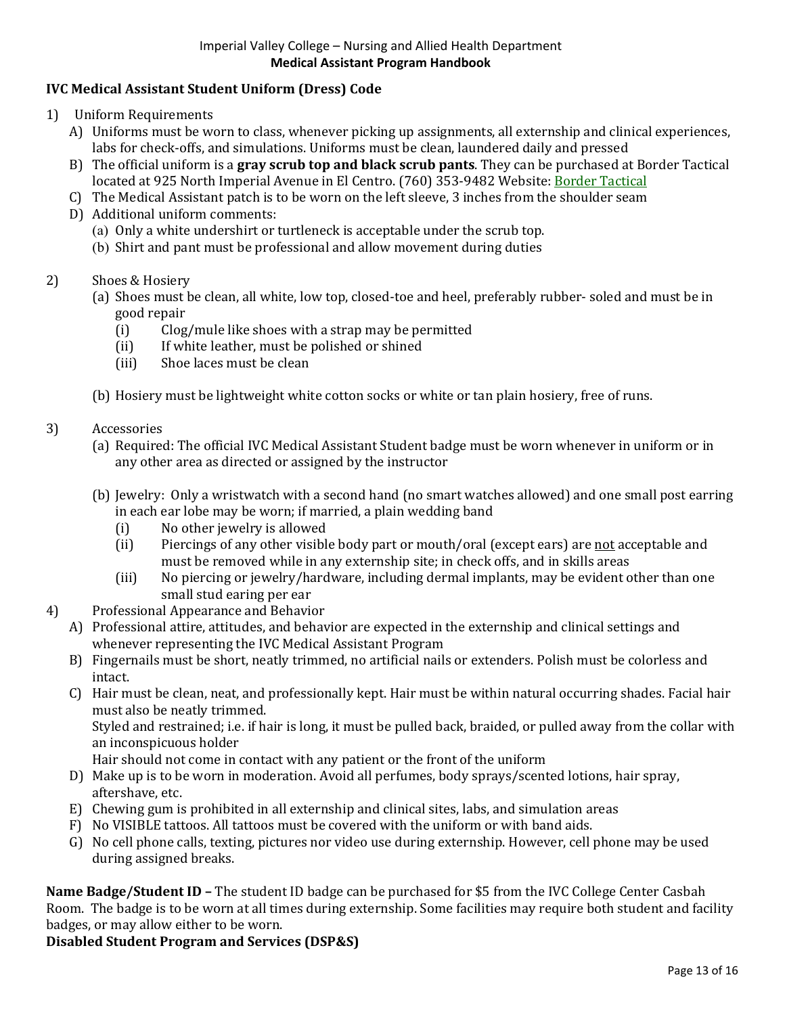## **IVC Medical Assistant Student Uniform (Dress) Code**

- 1) Uniform Requirements
	- A) Uniforms must be worn to class, whenever picking up assignments, all externship and clinical experiences, labs for check-offs, and simulations. Uniforms must be clean, laundered daily and pressed
	- B) The official uniform is a **gray scrub top and black scrub pants**. They can be purchased at Border Tactical located at 925 North Imperial Avenue in El Centro. (760) 353-9482 Website: [Border Tactical](https://bordertactical.com/)
	- C) The Medical Assistant patch is to be worn on the left sleeve, 3 inches from the shoulder seam
	- D) Additional uniform comments:
		- (a) Only a white undershirt or turtleneck is acceptable under the scrub top.
		- (b) Shirt and pant must be professional and allow movement during duties
- 2) Shoes & Hosiery
	- (a) Shoes must be clean, all white, low top, closed-toe and heel, preferably rubber- soled and must be in good repair<br>(i) Clog
		- (i) Clog/mule like shoes with a strap may be permitted<br>(ii) If white leather, must be polished or shined
		- (ii) If white leather, must be polished or shined<br>(iii) Shoe laces must be clean
		- Shoe laces must be clean
	- (b) Hosiery must be lightweight white cotton socks or white or tan plain hosiery, free of runs.

#### 3) Accessories

- (a) Required: The official IVC Medical Assistant Student badge must be worn whenever in uniform or in any other area as directed or assigned by the instructor
- (b) Jewelry: Only a wristwatch with a second hand (no smart watches allowed) and one small post earring in each ear lobe may be worn; if married, a plain wedding band<br>(i) No other jewelry is allowed
	- (i) No other jewelry is allowed<br>(ii) Piercings of any other visibl
	- Piercings of any other visible body part or mouth/oral (except ears) are not acceptable and must be removed while in any externship site; in check offs, and in skills areas
	- (iii) No piercing or jewelry/hardware, including dermal implants, may be evident other than one small stud earing per ear
- 4) Professional Appearance and Behavior
	- A) Professional attire, attitudes, and behavior are expected in the externship and clinical settings and whenever representing the IVC Medical Assistant Program
	- B) Fingernails must be short, neatly trimmed, no artificial nails or extenders. Polish must be colorless and intact.
	- C) Hair must be clean, neat, and professionally kept. Hair must be within natural occurring shades. Facial hair must also be neatly trimmed.

Styled and restrained; i.e. if hair is long, it must be pulled back, braided, or pulled away from the collar with an inconspicuous holder

- Hair should not come in contact with any patient or the front of the uniform
- D) Make up is to be worn in moderation. Avoid all perfumes, body sprays/scented lotions, hair spray, aftershave, etc.
- E) Chewing gum is prohibited in all externship and clinical sites, labs, and simulation areas
- F) No VISIBLE tattoos. All tattoos must be covered with the uniform or with band aids.
- G) No cell phone calls, texting, pictures nor video use during externship. However, cell phone may be used during assigned breaks.

**Name Badge/Student ID –** The student ID badge can be purchased for \$5 from the IVC College Center Casbah Room. The badge is to be worn at all times during externship. Some facilities may require both student and facility badges, or may allow either to be worn.

### **Disabled Student Program and Services (DSP&S)**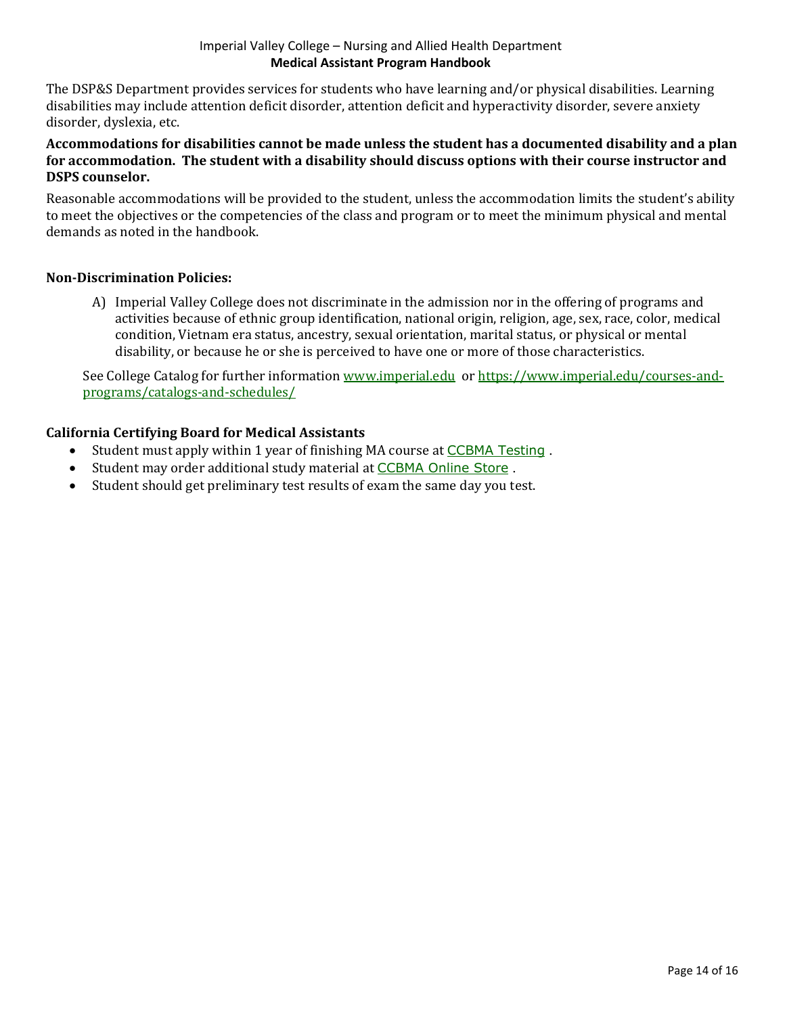The DSP&S Department provides services for students who have learning and/or physical disabilities. Learning disabilities may include attention deficit disorder, attention deficit and hyperactivity disorder, severe anxiety disorder, dyslexia, etc.

#### **Accommodations for disabilities cannot be made unless the student has a documented disability and a plan for accommodation. The student with a disability should discuss options with their course instructor and DSPS counselor.**

Reasonable accommodations will be provided to the student, unless the accommodation limits the student's ability to meet the objectives or the competencies of the class and program or to meet the minimum physical and mental demands as noted in the handbook.

### **Non-Discrimination Policies:**

A) Imperial Valley College does not discriminate in the admission nor in the offering of programs and activities because of ethnic group identification, national origin, religion, age, sex, race, color, medical condition, Vietnam era status, ancestry, sexual orientation, marital status, or physical or mental disability, or because he or she is perceived to have one or more of those characteristics.

See College Catalog for further information [www.imperial.edu](http://www.imperial.edu/) or [https://www.imperial.edu/courses-and](https://www.imperial.edu/courses-and-programs/catalogs-and-schedules/)[programs/catalogs-and-schedules/](https://www.imperial.edu/courses-and-programs/catalogs-and-schedules/)

## **California Certifying Board for Medical Assistants**

- Student must apply within 1 year of finishing MA course at [CCBMA Testing](https://ccbma.org/certification/testing/) .
- Student may order additional study material at [CCBMA Online Store](https://secure.ccbma.org/np/clients/ccbma/giftstore.jsp?orgId=ccbma&) .
- Student should get preliminary test results of exam the same day you test.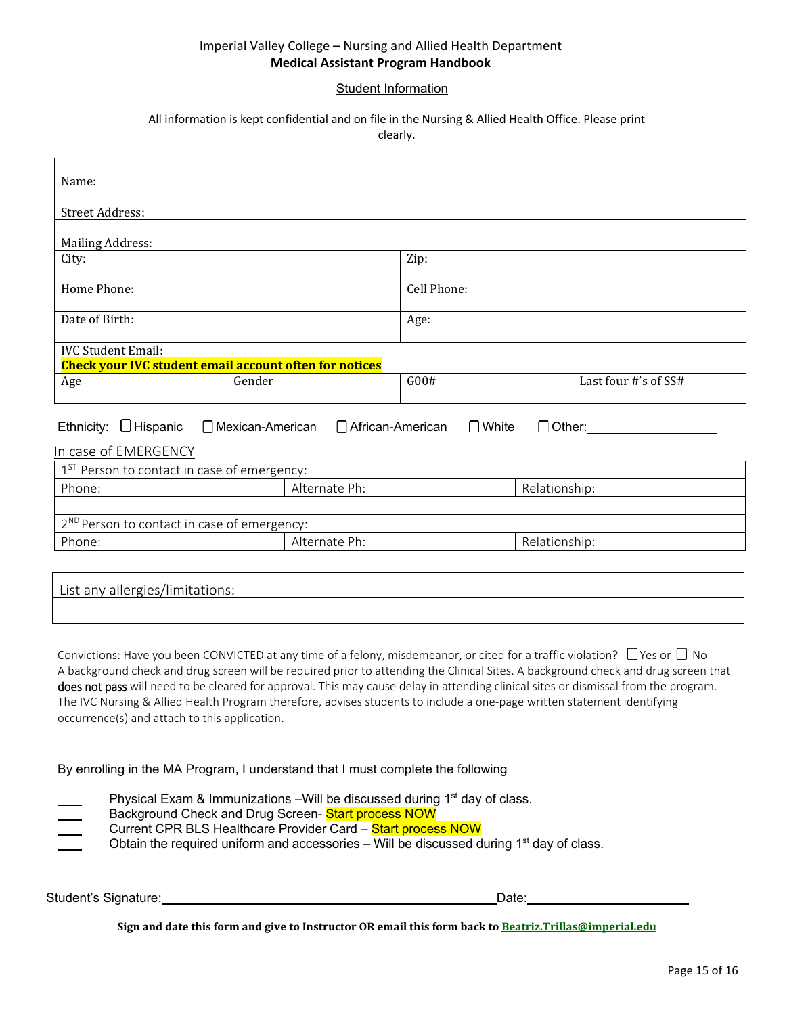#### Student Information

#### All information is kept confidential and on file in the Nursing & Allied Health Office. Please print clearly.

| Name:                                                                                                    |                                |             |               |                      |
|----------------------------------------------------------------------------------------------------------|--------------------------------|-------------|---------------|----------------------|
| <b>Street Address:</b>                                                                                   |                                |             |               |                      |
| <b>Mailing Address:</b>                                                                                  |                                |             |               |                      |
| City:                                                                                                    |                                | Zip:        |               |                      |
| Home Phone:                                                                                              |                                | Cell Phone: |               |                      |
| Date of Birth:                                                                                           |                                | Age:        |               |                      |
| <b>IVC Student Email:</b><br><b>Check your IVC student email account often for notices</b>               |                                |             |               |                      |
| Age                                                                                                      | Gender                         | G00#        |               | Last four #'s of SS# |
| Ethnicity: $\Box$ Hispanic $\Box$ Mexican-American $\Box$ African-American $\Box$ White<br>$\Box$ Other: |                                |             |               |                      |
| In case of EMERGENCY<br>1 <sup>ST</sup> Person to contact in case of emergency:                          |                                |             |               |                      |
| Phone:                                                                                                   | Alternate Ph:<br>Relationship: |             |               |                      |
| 2 <sup>ND</sup> Person to contact in case of emergency:                                                  |                                |             |               |                      |
| Phone:                                                                                                   | Alternate Ph:                  |             | Relationship: |                      |
|                                                                                                          |                                |             |               |                      |
| List any allergies/limitations:                                                                          |                                |             |               |                      |

Convictions: Have you been CONVICTED at any time of a felony, misdemeanor, or cited for a traffic violation?  $\Box$  Yes or  $\Box$  No A background check and drug screen will be required prior to attending the Clinical Sites. A background check and drug screen that does not pass will need to be cleared for approval. This may cause delay in attending clinical sites or dismissal from the program. The IVC Nursing & Allied Health Program therefore, advises students to include a one-page written statement identifying occurrence(s) and attach to this application.

By enrolling in the MA Program, I understand that I must complete the following

| Physical Exam & Immunizations – Will be discussed during 1 <sup>st</sup> day of class.<br>$\sim$<br>Background Check and Drug Screen- Start process NOW<br>$\sim$<br>Current CPR BLS Healthcare Provider Card - Start process NOW<br>$\frac{1}{1}$<br>Obtain the required uniform and accessories – Will be discussed during $1st$ day of class.<br><b>Contract Contract</b> |
|------------------------------------------------------------------------------------------------------------------------------------------------------------------------------------------------------------------------------------------------------------------------------------------------------------------------------------------------------------------------------|
|                                                                                                                                                                                                                                                                                                                                                                              |

Student's Signature: Date:

**Sign and date this form and give to Instructor OR email this form back t[o Beatriz.Trillas@imperial.edu](mailto:Beatriz.Trillas@imperial.edu)**